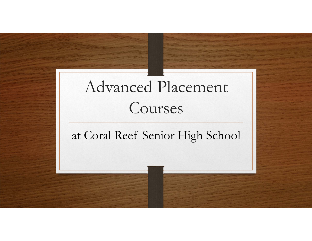# Advanced Placement Courses

### at Coral Reef Senior High School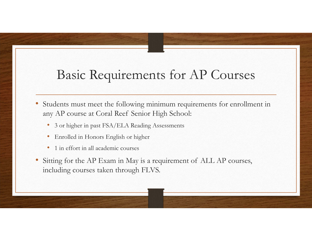### Basic Requirements for AP Courses

- • Students must meet the following minimum requirements for enrollment in any AP course at Coral Reef Senior High School:
	- 3 or higher in past FSA/ELA Reading Assessments
	- •Enrolled in Honors English or higher
	- •1 in effort in all academic courses
- • Sitting for the AP Exam in May is a requirement of ALL AP courses, including courses taken through FLVS.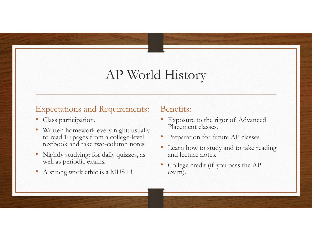### AP World History

#### Expectations and Requirements:

- •Class participation.
- • Written homework every night: usually to read 10 pages from a college-level textbook and take two-column notes.
- • Nightly studying: for daily quizzes, as well as periodic exams.
- •A strong work ethic is a MUST!!

- • Exposure to the rigor of Advanced Placement classes.
- Preparation for future AP classes.
- Learn how to study and to take reading and lecture notes.
- • College credit (if you pass the AP exam).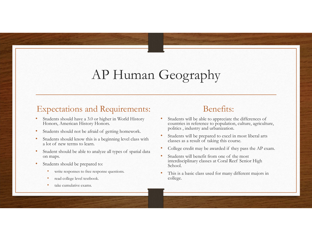### AP Human Geography

#### Expectations and Requirements:

- • Students should have a 3.0 or higher in World History Honors, American History Honors.
- •Students should not be afraid of getting homework.
- • Students should know this is a beginning level class with a lot of new terms to learn.
- • Student should be able to analyze all types of spatial data on maps.
- • Students should be prepared to:
	- •write responses to free response questions.
	- •read college level textbook.
	- •take cumulative exams.

- • Students will be able to appreciate the differences of countries in reference to population, culture, agriculture, politics , industry and urbanization.
- • Students will be prepared to excel in most liberal arts classes as a result of taking this course.
- •College credit may be awarded if they pass the AP exam.
- • Students will benefit from one of the most interdisciplinary classes at Coral Reef Senior High School.
- • This is a basic class used for many different majors in college.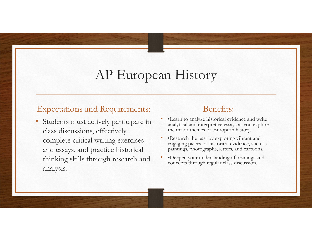### AP European History

#### Expectations and Requirements:

• Students must actively participate in class discussions, effectively complete critical writing exercises and essays, and practice historical thinking skills through research and analysis.

- • •Learn to analyze historical evidence and write analytical and interpretive essays as you explore the major themes of European history.
- • •Research the past by exploring vibrant and engaging pieces of historical evidence, such as paintings, photographs, letters, and cartoons.
- • •Deepen your understanding of readings and concepts through regular class discussion.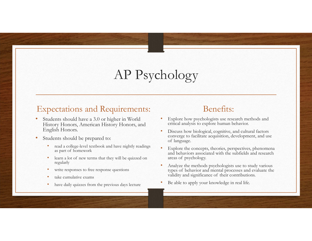### AP Psychology

#### Expectations and Requirements:

- • Students should have a 3.0 or higher in World History Honors, American History Honors, and English Honors.
- • Students should be prepared to:
	- • read a college-level textbook and have nightly readings as part of homework
	- • learn a lot of new terms that they will be quizzed on regularly
	- •write responses to free response questions
	- •take cumulative exams
	- •have daily quizzes from the previous days lecture

- • Explore how psychologists use research methods and critical analysis to explore human behavior.
- • Discuss how biological, cognitive, and cultural factors converge to facilitate acquisition, development, and use of language.
- • Explore the concepts, theories, perspectives, phenomena and behaviors associated with the subfields and research areas of psychology.
- • Analyze the methods psychologists use to study various types of behavior and mental processes and evaluate the validity and significance of their contributions.
- •Be able to apply your knowledge in real life.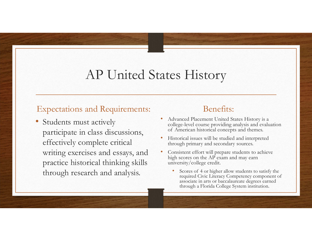### AP United States History

#### Expectations and Requirements:

• Students must actively participate in class discussions, effectively complete critical writing exercises and essays, and practice historical thinking skills through research and analysis.

- • Advanced Placement United States History is a college-level course providing analysis and evaluation of American historical concepts and themes.
- • Historical issues will be studied and interpreted through primary and secondary sources.
- • Consistent effort will prepare students to achieve high scores on the AP exam and may earn university/college credit.
	- • Scores of 4 or higher allow students to satisfy the required Civic Literacy Competency component of associate in arts or baccalaureate degrees earned through a Florida College System institution.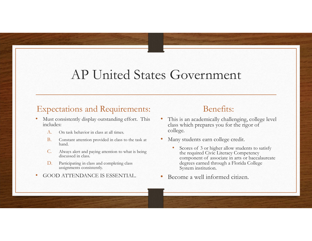### AP United States Government

#### Expectations and Requirements:

- • Must consistently display outstanding effort. This includes:
	- A.On task behavior in class at all times.
	- B. Constant attention provided in class to the task at hand.
	- C. Always alert and paying attention to what is being discussed in class.
	- D. Participating in class and completing class assignments consistently.
- •GOOD ATTENDANCE IS ESSENTIAL.

- • This is an academically challenging, college level class which prepares you for the rigor of college.
- • Many students earn college credit.
	- • Scores of 3 or higher allow students to satisfy the required Civic Literacy Competency component of associate in arts or baccalaureate degrees earned through a Florida College System institution.
- Become a well informed citizen.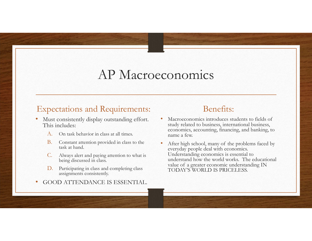### AP Macroeconomics

#### Expectations and Requirements:

- • Must consistently display outstanding effort. This includes:
	- A.On task behavior in class at all times.
	- B. Constant attention provided in class to the task at hand.
	- C. Always alert and paying attention to what is being discussed in class.
	- D. Participating in class and completing class assignments consistently.
- •GOOD ATTENDANCE IS ESSENTIAL.

- • Macroeconomics introduces students to fields of study related to business, international business, economics, accounting, financing, and banking, to name a few.
- • After high school, many of the problems faced by everyday people deal with economics. Understanding economics is essential to understand how the world works. The educational value of a greater economic understanding IN TODAY'S WORLD IS PRICELESS.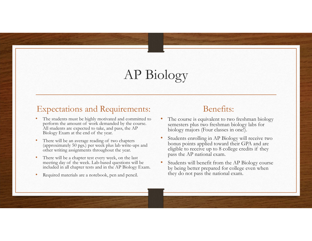### AP Biology

#### Expectations and Requirements:

- • The students must be highly motivated and committed to perform the amount of work demanded by the course. All students are expected to take, and pass, the AP Biology Exam at the end of the year.
- • There will be an average reading of two chapters (approximately 50 pgs.) per week plus lab write-ups and other writing assignments throughout the year.
- • There will be a chapter test every week, on the last meeting day of the week. Lab-based questions will be included in all chapter tests and in the AP Biology Exam.
- •Required materials are a notebook, pen and pencil.

- • The course is equivalent to two freshman biology semesters plus two freshman biology labs for biology majors (Four classes in one!).
- • Students enrolling in AP Biology will receive two bonus points applied toward their GPA and are eligible to receive up to 8 college credits if they pass the AP national exam.
- • Students will benefit from the AP Biology course by being better prepared for college even when they do not pass the national exam.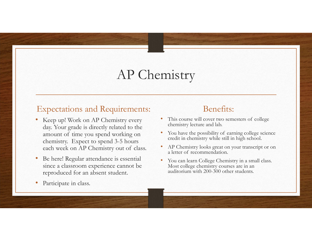### AP Chemistry

#### Expectations and Requirements:

- • Keep up! Work on AP Chemistry every day. Your grade is directly related to the amount of time you spend working on chemistry. Expect to spend 3-5 hours each week on AP Chemistry out of class.
- • Be here! Regular attendance is essential since a classroom experience cannot be reproduced for an absent student.

#### •Participate in class.

- • This course will cover two semesters of college chemistry lecture and lab.
- •You have the possibility of earning college science credit in chemistry while still in high school.
- • AP Chemistry looks great on your transcript or on a letter of recommendation.
- • You can learn College Chemistry in a small class. Most college chemistry courses are in an auditorium with 200-300 other students.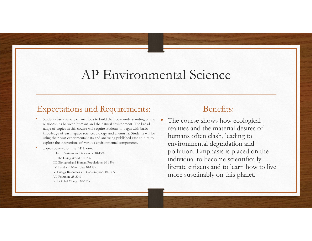### AP Environmental Science

#### Expectations and Requirements:

- • Students use a variety of methods to build their own understanding of the relationships between humans and the natural environment. The broad range of topics in this course will require students to begin with basic knowledge of earth-space science, biology, and chemistry. Students will be using their own experimental data and analyzing published case studies to explore the interactions of various environmental components.
- •Topics covered on the AP Exam:

I. Earth Systems and Resources: 10-15% II. The Living World: 10-15% III. Biological and Human Populations: 10-15% IV. Land and Water Use: 10-15%V. Energy Resources and Consumption: 10-15% VI. Pollution: 25-30%VII. Global Change: 10-15%

#### Benefits:

• The course shows how ecological realities and the material desires of humans often clash, leading to environmental degradation and pollution. Emphasis is placed on the individual to become scientifically literate citizens and to learn how to live more sustainably on this planet.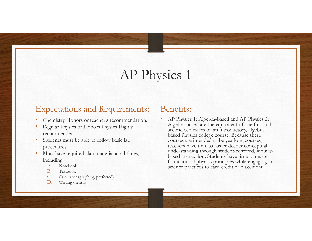### AP Physics 1

•

#### Expectations and Requirements:

- •Chemistry Honors or teacher's recommendation.
- • Regular Physics or Honors Physics Highly recommended.
- • Students must be able to follow basic lab procedures.
- • Must have required class material at all times, including:
	- A.Notebook
	- B.Textbook
	- C.Calculator (graphing preferred)
	- D.Writing utensils

#### Benefits:

 AP Physics 1: Algebra-based and AP Physics 2: Algebra-based are the equivalent of the first and second semesters of an introductory, algebrabased Physics college course. Because these courses are intended to be yearlong courses, teachers have time to foster deeper conceptual understanding through student-centered, inquirybased instruction. Students have time to master foundational physics principles while engaging in science practices to earn credit or placement.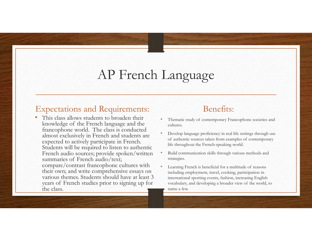### AP French Language

#### Expectations and Requirements:

• This class allows students to broaden their knowledge of the French language and the francophone world. The class is conducted almost exclusively in French and students are expected to actively participate in French. Students will be required to listen to authentic French audio sources; provide spoken/written summaries of French audio/text; compare/contrast francophone cultures with their own; and write comprehensive essays on various themes. Students should have at least 3 years of French studies prior to signing up for the class.

- • Thematic study of contemporary Francophone societies and cultures.
- • Develop language proficiency in real life settings through use of authentic sources taken from examples of contemporary life throughout the French-speaking world.
- • Build communication skills through various methods and strategies.
- • Learning French is beneficial for a multitude of reasons including employment, travel, cooking, participation in international sporting events, fashion, increasing English vocabulary, and developing a broader view of the world, to name a few.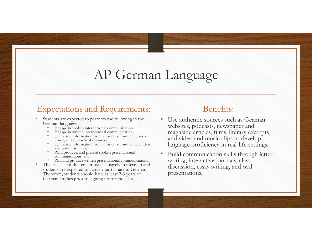### AP German Language

#### Expectations and Requirements:

- • Students are expected to perform the following in the German language:
	- •Engage in spoken interpersonal communication
	- •Engage in written interpersonal communication;
	- • Synthesize information from a variety of authentic audio, visual, and audiovisual resources;
	- • Synthesize information from a variety of authentic written and print resources;
	- • Plan, produce, and present spoken presentational communications; and
	- •Plan and produce written presentational communications.
- • The class is conducted almost exclusively in German and students are expected to actively participate in German; Therefore, students should have at least 2-3 years of German studies prior to signing up for the class.

- • Use authentic sources such as German websites, podcasts, newspaper and magazine articles, films, literary excerpts, and video and music clips to develop language proficiency in real-life settings.
- • Build communication skills through letterwriting, interactive journals, class discussion, essay writing, and oral presentations.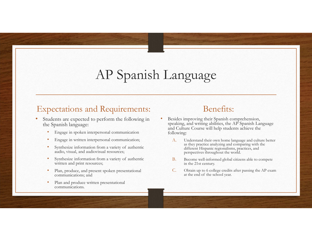### AP Spanish Language

•

#### Expectations and Requirements:

- • Students are expected to perform the following in the Spanish language:
	- •Engage in spoken interpersonal communication
	- •Engage in written interpersonal communication;
	- • Synthesize information from a variety of authentic audio, visual, and audiovisual resources;
	- • Synthesize information from a variety of authentic written and print resources;
	- • Plan, produce, and present spoken presentational communications; and
	- • Plan and produce written presentational communications.

- Besides improving their Spanish comprehension, speaking, and writing abilities, the AP Spanish Language and Culture Course will help students achieve the following:
	- A. Understand their own home language and culture better as they practice analyzing and comparing with the different Hispanic regionalisms, practices, and perspectives throughout the world.
	- B. Become well-informed global citizens able to compete in the 21st century.
	- C. Obtain up to 6 college credits after passing the AP exam at the end of the school year.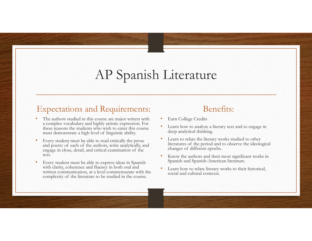### AP Spanish Literature

#### Expectations and Requirements:

- • The authors studied in this course are major writers with a complex vocabulary and highly artistic expression. For these reasons the students who wish to enter this course must demonstrate a high level of linguistic ability.
- • Every student must be able to read critically the prose and poetry of each of the authors, write analytically, and engage in close, detail, and critical examination of the text.
- • Every student must be able to express ideas in Spanish with clarity, coherence and fluency in both oral and written communication, at a level commensurate with the complexity of the literature to be studied in the course.

- •Earn College Credits
- • Learn how to analyze a literary text and to engage in deep analytical thinking.
- • Learn to relate the literary works studied to other literatures of the period and to observe the ideological changes of different epochs.
- • Know the authors and their most significant works in Spanish and Spanish-American literature.
- • Learn how to relate literary works to their historical, social and cultural contexts.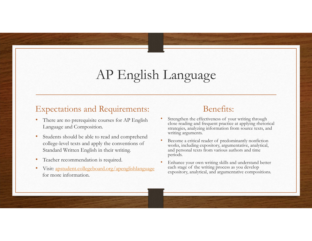## AP English Language

#### Expectations and Requirements:

- • There are no prerequisite courses for AP English Language and Composition.
- • Students should be able to read and comprehend college-level texts and apply the conventions of Standard Written English in their writing.
- •Teacher recommendation is required.
- • Visit: apstudent.collegeboard.org/apenglishlanguage for more information.

- • Strengthen the effectiveness of your writing through close reading and frequent practice at applying rhetorical strategies, analyzing information from source texts, and writing arguments.
- • Become a critical reader of predominantly nonfiction works, including expository, argumentative, analytical, and personal texts from various authors and time periods.
- • Enhance your own writing skills and understand better each stage of the writing process as you develop expository, analytical, and argumentative compositions.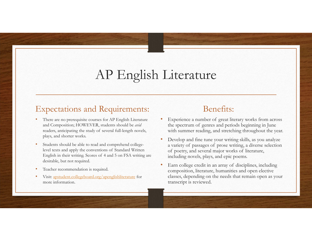### AP English Literature

#### Expectations and Requirements:

- • There are no prerequisite courses for AP English Literature and Composition; HOWEVER, students should be *avid* readers, anticipating the study of several full-length novels, plays, and shorter works.
- • Students should be able to read and comprehend collegelevel texts and apply the conventions of Standard Written English in their writing. Scores of 4 and 5 on FSA writing are desirable, but not required.
- •Teacher recommendation is required.
- • Visit: apstudent.collegeboard.org/apenglishliterature for more information.

- • Experience a number of great literary works from across the spectrum of genres and periods beginning in June with summer reading, and stretching throughout the year.
- • Develop and fine tune your writing skills, as you analyze a variety of passages of prose writing, a diverse selection of poetry, and several major works of literature, including novels, plays, and epic poems.
- • Earn college credit in an array of disciplines, including composition, literature, humanities and open elective classes, depending on the needs that remain open as your transcript is reviewed.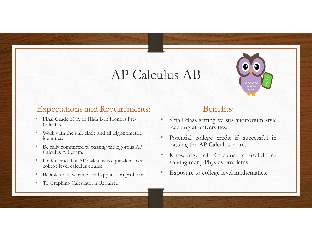### AP Calculus AB



### Expectations and Requirements:

- • Final Grade of A or High B in Honors Pre-Calculus.
- • Work with the unit circle and all trigonometric identities.
- • Be fully committed to passing the rigorous AP Calculus AB exam.
- • Understand that AP Calculus is equivalent to a college level calculus course.
- •Be able to solve real world application problems.
- •TI Graphing Calculator is Required.

- • Small class setting versus auditorium style teaching at universities.
- • Potential college credit if successful in passing the AP Calculus exam.
- • Knowledge of Calculus is useful for solving many Physics problems.
- •Exposure to college level mathematics.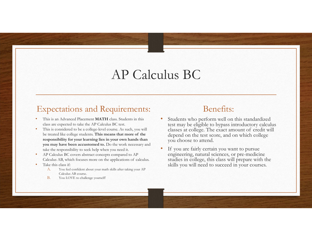### AP Calculus BC

#### Expectations and Requirements:

- • This is an Advanced Placement **MATH** class. Students in this class are expected to take the AP Calculus BC test.
- • This is considered to be a college-level course. As such, you will be treated like college students. **This means that more of the responsibility for your learning lies in your own hands than you may have been accustomed to.** Do the work necessary and take the responsibility to seek help when you need it.
- • AP Calculus BC covers abstract concepts compared to AP Calculus AB, which focuses more on the applications of calculus.
- • Take this class if:
	- A. You feel confident about your math skills after taking your AP Calculus AB course.
	- B.You LOVE to challenge yourself!

- • Students who perform well on this standardized test may be eligible to bypass introductory calculus classes at college. The exact amount of credit will depend on the test score, and on which college you choose to attend.
- • If you are fairly certain you want to pursue engineering, natural sciences, or pre-medicine studies in college, this class will prepare with the skills you will need to succeed in your courses.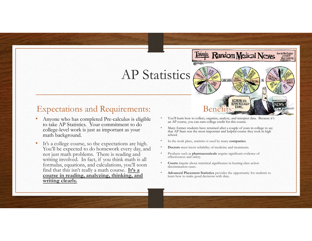### AP Statistics

•

#### Expectations and Requirements:

- • Anyone who has completed Pre-calculus is eligible to take AP Statistics. Your commitment to do college-level work is just as important as your math background.
- •It's a college course, so the expectations are high. You'll be expected to do homework every day, and not just math problems. There is reading and writing involved. In fact, if you think math is all formulas, equations, and calculations, you'll soon find that this isn't really a math course. **It's a course in reading, analyzing, thinking, and writing clearly.**
- You'll learn how to collect, organize, analyze, and interpret data. Because it's an AP course, you can earn college credit for this course.

Benefits:

**Todau's Random Medical News** 

CCORDING TO **FPORT RELEASED** 

CAN CAUSE

from the New England Zunic-Inducing<br>ambdwark

- • Many former students have returned after a couple of years in college to say that AP Stats was the most important and helpful course they took in high school.
- •In the work place, statistics is used by many **companies**.
- •**• Doctors** must know reliability of medicine and treatments.
- • Products such as **pharmaceuticals** require significant evidence of effectiveness and safety.
- •**Courts** inquire about statistical significance in hearing class action discrimination cases.
- • **Advanced Placement Statistics** provides the opportunity for students to learn how to make good decisions with data.